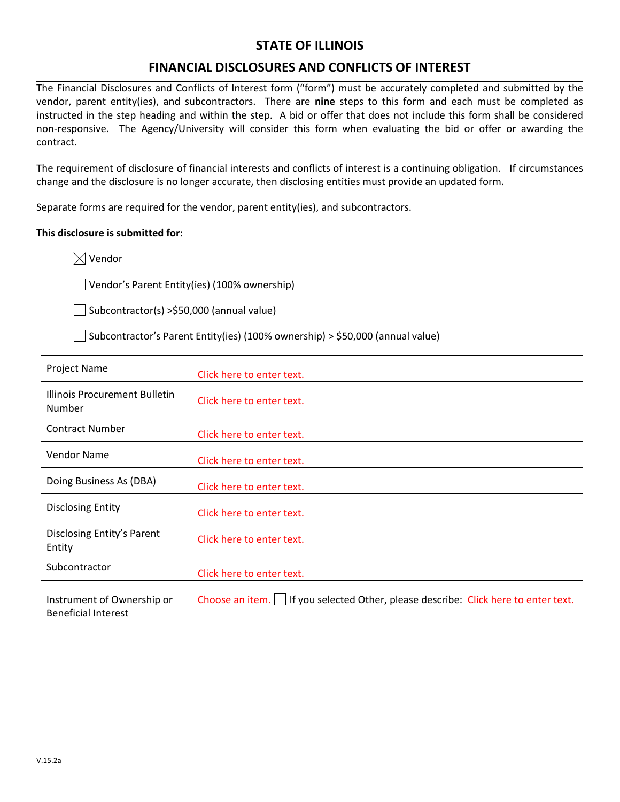#### **STATE OF ILLINOIS**

#### **FINANCIAL DISCLOSURES AND CONFLICTS OF INTEREST**

The Financial Disclosures and Conflicts of Interest form ("form") must be accurately completed and submitted by the vendor, parent entity(ies), and subcontractors. There are **nine** steps to this form and each must be completed as instructed in the step heading and within the step. A bid or offer that does not include this form shall be considered non-responsive. The Agency/University will consider this form when evaluating the bid or offer or awarding the contract.

The requirement of disclosure of financial interests and conflicts of interest is a continuing obligation. If circumstances change and the disclosure is no longer accurate, then disclosing entities must provide an updated form.

Separate forms are required for the vendor, parent entity(ies), and subcontractors.

#### **This disclosure is submitted for:**

 $\boxtimes$  Vendor

Vendor's Parent Entity(ies) (100% ownership)

 $\Box$  Subcontractor(s) >\$50,000 (annual value)

 $\Box$  Subcontractor's Parent Entity(ies) (100% ownership) > \$50,000 (annual value)

| Project Name                                             | Click here to enter text.                                                           |
|----------------------------------------------------------|-------------------------------------------------------------------------------------|
| Illinois Procurement Bulletin<br>Number                  | Click here to enter text.                                                           |
| <b>Contract Number</b>                                   | Click here to enter text.                                                           |
| <b>Vendor Name</b>                                       | Click here to enter text.                                                           |
| Doing Business As (DBA)                                  | Click here to enter text.                                                           |
| <b>Disclosing Entity</b>                                 | Click here to enter text.                                                           |
| Disclosing Entity's Parent<br>Entity                     | Click here to enter text.                                                           |
| Subcontractor                                            | Click here to enter text.                                                           |
| Instrument of Ownership or<br><b>Beneficial Interest</b> | Choose an item.   If you selected Other, please describe: Click here to enter text. |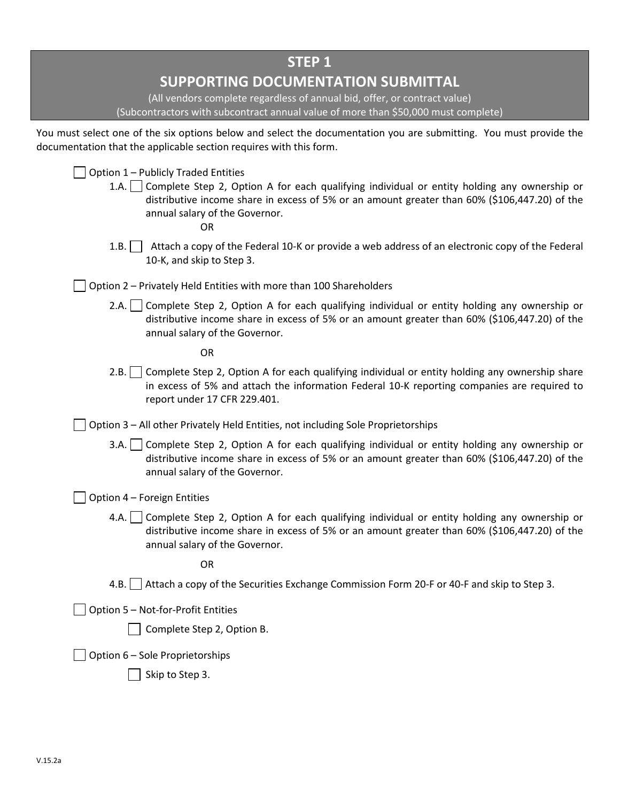| <b>STEP 1</b><br><b>SUPPORTING DOCUMENTATION SUBMITTAL</b><br>(All vendors complete regardless of annual bid, offer, or contract value)<br>(Subcontractors with subcontract annual value of more than \$50,000 must complete)                                                    |
|----------------------------------------------------------------------------------------------------------------------------------------------------------------------------------------------------------------------------------------------------------------------------------|
| You must select one of the six options below and select the documentation you are submitting. You must provide the<br>documentation that the applicable section requires with this form.                                                                                         |
| Option 1 - Publicly Traded Entities<br>1.A. Complete Step 2, Option A for each qualifying individual or entity holding any ownership or<br>distributive income share in excess of 5% or an amount greater than 60% (\$106,447.20) of the<br>annual salary of the Governor.<br>OR |
| Attach a copy of the Federal 10-K or provide a web address of an electronic copy of the Federal<br>1.B.<br>10-K, and skip to Step 3.                                                                                                                                             |
| Option 2 - Privately Held Entities with more than 100 Shareholders                                                                                                                                                                                                               |
| 2.A. Complete Step 2, Option A for each qualifying individual or entity holding any ownership or<br>distributive income share in excess of 5% or an amount greater than 60% (\$106,447.20) of the<br>annual salary of the Governor.                                              |
| <b>OR</b>                                                                                                                                                                                                                                                                        |
| Complete Step 2, Option A for each qualifying individual or entity holding any ownership share<br>2.B.<br>in excess of 5% and attach the information Federal 10-K reporting companies are required to<br>report under 17 CFR 229.401.                                            |
| Option 3 - All other Privately Held Entities, not including Sole Proprietorships                                                                                                                                                                                                 |
| 3.A. Complete Step 2, Option A for each qualifying individual or entity holding any ownership or<br>distributive income share in excess of 5% or an amount greater than 60% (\$106,447.20) of the<br>annual salary of the Governor.                                              |
| Option 4 - Foreign Entities                                                                                                                                                                                                                                                      |
| 4.A.   Complete Step 2, Option A for each qualifying individual or entity holding any ownership or<br>distributive income share in excess of 5% or an amount greater than 60% (\$106,447.20) of the<br>annual salary of the Governor.                                            |
| <b>OR</b>                                                                                                                                                                                                                                                                        |
| Attach a copy of the Securities Exchange Commission Form 20-F or 40-F and skip to Step 3.<br>4.B.                                                                                                                                                                                |
| Option 5 - Not-for-Profit Entities                                                                                                                                                                                                                                               |
| Complete Step 2, Option B.                                                                                                                                                                                                                                                       |
| Option 6 - Sole Proprietorships                                                                                                                                                                                                                                                  |
| Skip to Step 3.                                                                                                                                                                                                                                                                  |
|                                                                                                                                                                                                                                                                                  |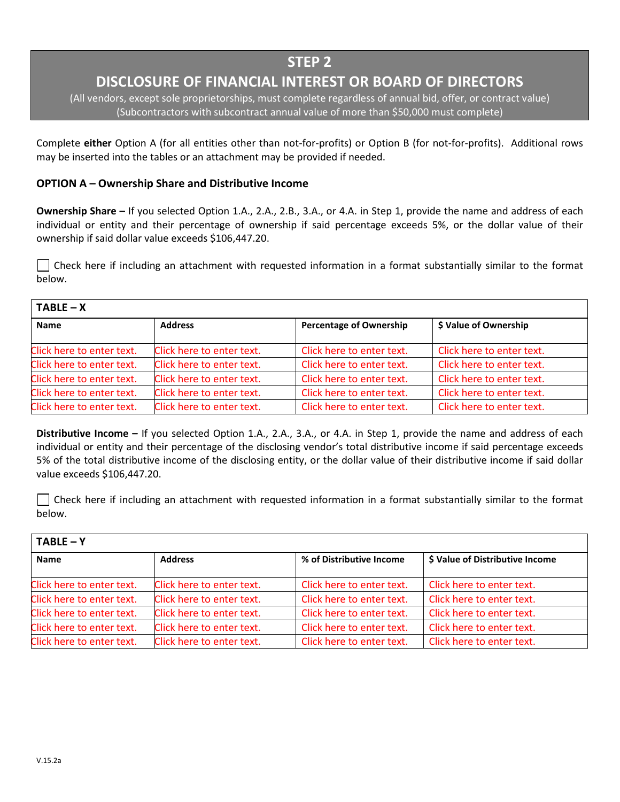## **DISCLOSURE OF FINANCIAL INTEREST OR BOARD OF DIRECTORS**

(All vendors, except sole proprietorships, must complete regardless of annual bid, offer, or contract value) (Subcontractors with subcontract annual value of more than \$50,000 must complete)

Complete **either** Option A (for all entities other than not-for-profits) or Option B (for not-for-profits). Additional rows may be inserted into the tables or an attachment may be provided if needed.

#### **OPTION A – Ownership Share and Distributive Income**

**Ownership Share –** If you selected Option 1.A., 2.A., 2.B., 3.A., or 4.A. in Step 1, provide the name and address of each individual or entity and their percentage of ownership if said percentage exceeds 5%, or the dollar value of their ownership if said dollar value exceeds \$106,447.20.

 $\vert\,\,\vert$  Check here if including an attachment with requested information in a format substantially similar to the format below.

| $TABLE - X$               |                           |                                |                           |  |
|---------------------------|---------------------------|--------------------------------|---------------------------|--|
| <b>Name</b>               | <b>Address</b>            | <b>Percentage of Ownership</b> | \$ Value of Ownership     |  |
| Click here to enter text. | Click here to enter text. | Click here to enter text.      | Click here to enter text. |  |
| Click here to enter text. | Click here to enter text. | Click here to enter text.      | Click here to enter text. |  |
| Click here to enter text. | Click here to enter text. | Click here to enter text.      | Click here to enter text. |  |
| Click here to enter text. | Click here to enter text. | Click here to enter text.      | Click here to enter text. |  |
| Click here to enter text. | Click here to enter text. | Click here to enter text.      | Click here to enter text. |  |

**Distributive Income –** If you selected Option 1.A., 2.A., 3.A., or 4.A. in Step 1, provide the name and address of each individual or entity and their percentage of the disclosing vendor's total distributive income if said percentage exceeds 5% of the total distributive income of the disclosing entity, or the dollar value of their distributive income if said dollar value exceeds \$106,447.20.

 $\Box$  Check here if including an attachment with requested information in a format substantially similar to the format below.

| $TABLE - Y$               |                           |                           |                                 |  |
|---------------------------|---------------------------|---------------------------|---------------------------------|--|
| <b>Name</b>               | <b>Address</b>            | % of Distributive Income  | \$ Value of Distributive Income |  |
| Click here to enter text. | Click here to enter text. | Click here to enter text. | Click here to enter text.       |  |
| Click here to enter text. | Click here to enter text. | Click here to enter text. | Click here to enter text.       |  |
| Click here to enter text. | Click here to enter text. | Click here to enter text. | Click here to enter text.       |  |
| Click here to enter text. | Click here to enter text. | Click here to enter text. | Click here to enter text.       |  |
| Click here to enter text. | Click here to enter text. | Click here to enter text. | Click here to enter text.       |  |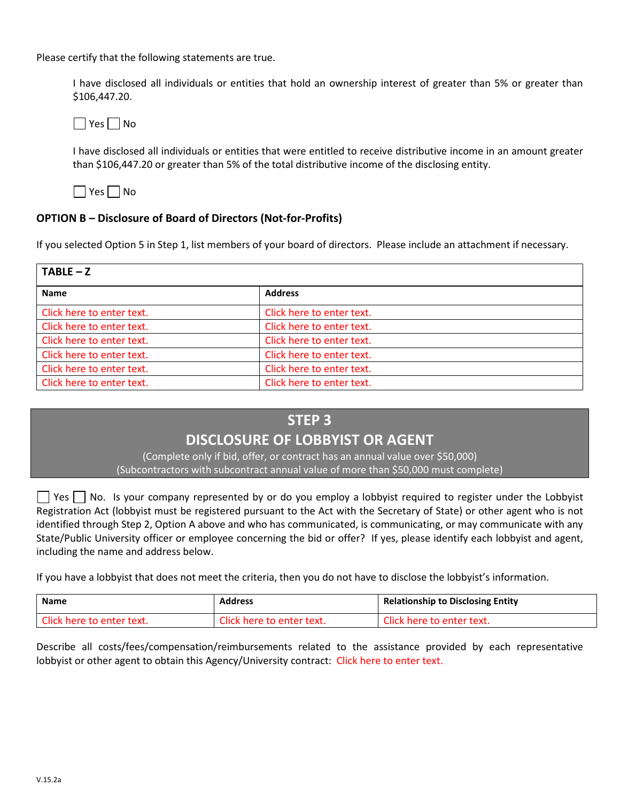Please certify that the following statements are true.

I have disclosed all individuals or entities that hold an ownership interest of greater than 5% or greater than \$106,447.20.

 $\Box$  Yes  $\Box$  No

I have disclosed all individuals or entities that were entitled to receive distributive income in an amount greater than \$106,447.20 or greater than 5% of the total distributive income of the disclosing entity.

 $\Box$  Yes  $\Box$  No

#### **OPTION B – Disclosure of Board of Directors (Not-for-Profits)**

If you selected Option 5 in Step 1, list members of your board of directors. Please include an attachment if necessary.

| $TABLE - Z$               |                           |  |
|---------------------------|---------------------------|--|
| <b>Name</b>               | <b>Address</b>            |  |
| Click here to enter text. | Click here to enter text. |  |
| Click here to enter text. | Click here to enter text. |  |
| Click here to enter text. | Click here to enter text. |  |
| Click here to enter text. | Click here to enter text. |  |
| Click here to enter text. | Click here to enter text. |  |
| Click here to enter text. | Click here to enter text. |  |

#### **STEP 3**

### **DISCLOSURE OF LOBBYIST OR AGENT**

(Complete only if bid, offer, or contract has an annual value over \$50,000) (Subcontractors with subcontract annual value of more than \$50,000 must complete)

 $\Box$  Yes  $\Box$  No. Is your company represented by or do you employ a lobbyist required to register under the Lobbyist Registration Act (lobbyist must be registered pursuant to the Act with the Secretary of State) or other agent who is not identified through Step 2, Option A above and who has communicated, is communicating, or may communicate with any State/Public University officer or employee concerning the bid or offer? If yes, please identify each lobbyist and agent, including the name and address below.

If you have a lobbyist that does not meet the criteria, then you do not have to disclose the lobbyist's information.

| <b>Name</b>               | <b>Address</b>            | <b>Relationship to Disclosing Entity</b> |
|---------------------------|---------------------------|------------------------------------------|
| Click here to enter text. | Click here to enter text. | Click here to enter text.                |

Describe all costs/fees/compensation/reimbursements related to the assistance provided by each representative lobbyist or other agent to obtain this Agency/University contract: Click here to enter text.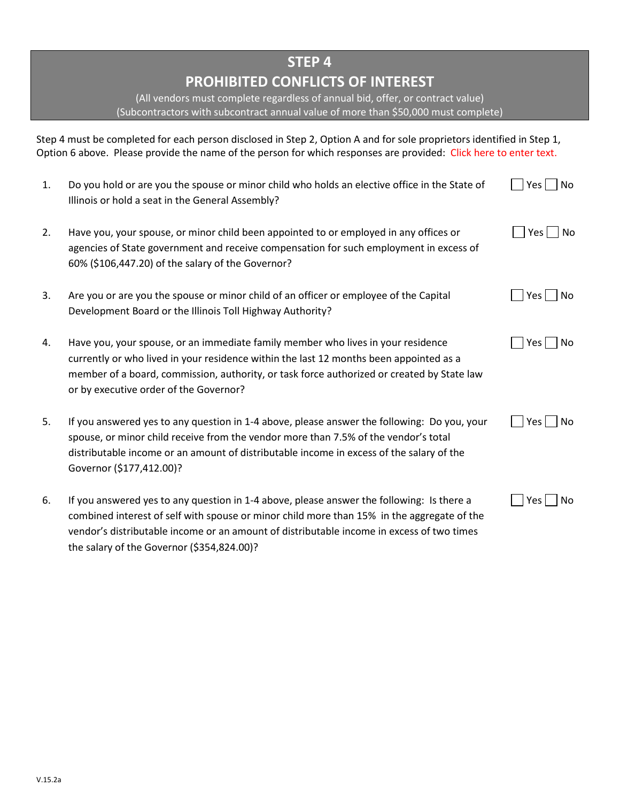# **PROHIBITED CONFLICTS OF INTEREST**

(All vendors must complete regardless of annual bid, offer, or contract value) (Subcontractors with subcontract annual value of more than \$50,000 must complete)

Step 4 must be completed for each person disclosed in Step 2, Option A and for sole proprietors identified in Step 1, Option 6 above. Please provide the name of the person for which responses are provided: Click here to enter text.

| 1. | Do you hold or are you the spouse or minor child who holds an elective office in the State of<br>Illinois or hold a seat in the General Assembly?                                                                                                                                                                  | No<br>Yes I           |
|----|--------------------------------------------------------------------------------------------------------------------------------------------------------------------------------------------------------------------------------------------------------------------------------------------------------------------|-----------------------|
| 2. | Have you, your spouse, or minor child been appointed to or employed in any offices or<br>agencies of State government and receive compensation for such employment in excess of<br>60% (\$106,447.20) of the salary of the Governor?                                                                               | No<br>$Yes \mid \mid$ |
| 3. | Are you or are you the spouse or minor child of an officer or employee of the Capital<br>Development Board or the Illinois Toll Highway Authority?                                                                                                                                                                 | No<br>Yes l           |
| 4. | Have you, your spouse, or an immediate family member who lives in your residence<br>currently or who lived in your residence within the last 12 months been appointed as a<br>member of a board, commission, authority, or task force authorized or created by State law<br>or by executive order of the Governor? | Yes  <br>No           |
| 5. | If you answered yes to any question in 1-4 above, please answer the following: Do you, your<br>spouse, or minor child receive from the vendor more than 7.5% of the vendor's total<br>distributable income or an amount of distributable income in excess of the salary of the<br>Governor (\$177,412.00)?         | Yes  <br>No           |
| 6. | If you answered yes to any question in 1-4 above, please answer the following: Is there a                                                                                                                                                                                                                          | No<br>Yes I           |

combined interest of self with spouse or minor child more than 15% in the aggregate of the vendor's distributable income or an amount of distributable income in excess of two times the salary of the Governor (\$354,824.00)?

|  | งก |
|--|----|
|--|----|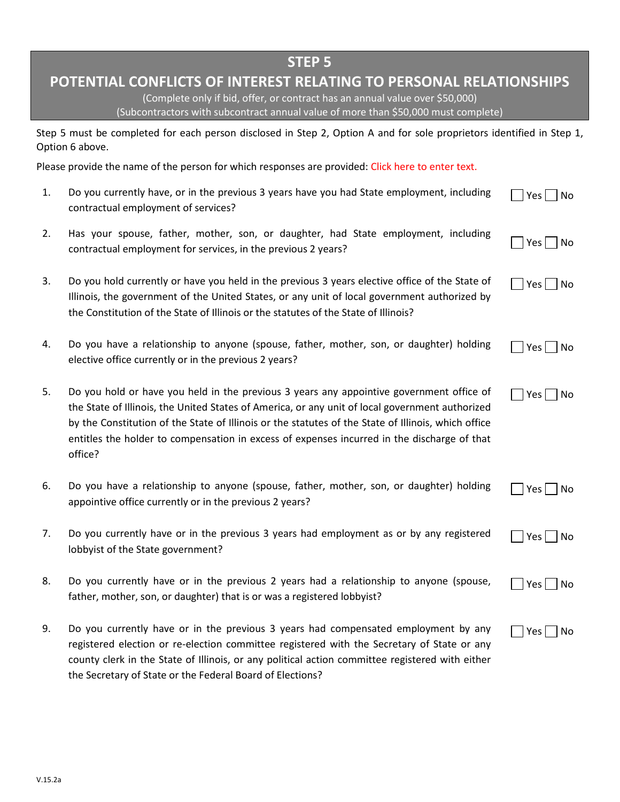## **POTENTIAL CONFLICTS OF INTEREST RELATING TO PERSONAL RELATIONSHIPS**

(Complete only if bid, offer, or contract has an annual value over \$50,000) (Subcontractors with subcontract annual value of more than \$50,000 must complete)

Step 5 must be completed for each person disclosed in Step 2, Option A and for sole proprietors identified in Step 1, Option 6 above.

Please provide the name of the person for which responses are provided: Click here to enter text.

- 1. Do you currently have, or in the previous 3 years have you had State employment, including contractual employment of services?  $\Box$  Yes  $\Box$  No
- 2. Has your spouse, father, mother, son, or daughter, had State employment, including  $\frac{1}{2}$  your spease, rather, method, sen, or daughter, had state employment, melading  $\Box$  Yes  $\Box$  No
- 3. Do you hold currently or have you held in the previous 3 years elective office of the State of Illinois, the government of the United States, or any unit of local government authorized by the Constitution of the State of Illinois or the statutes of the State of Illinois?  $\Box$  Yes  $\Box$  No
- 4. Do you have a relationship to anyone (spouse, father, mother, son, or daughter) holding elective office currently or in the previous 2 years? Yes No

 $\Box$  Yes  $\Box$  No

 $\sqcap$  Yes  $\sqcap$  No

 $\Box$  Yes  $\Box$  No

- 5. Do you hold or have you held in the previous 3 years any appointive government office of the State of Illinois, the United States of America, or any unit of local government authorized by the Constitution of the State of Illinois or the statutes of the State of Illinois, which office entitles the holder to compensation in excess of expenses incurred in the discharge of that office?
- 6. Do you have a relationship to anyone (spouse, father, mother, son, or daughter) holding appointive office currently or in the previous 2 years? |Yes||No
- 7. Do you currently have or in the previous 3 years had employment as or by any registered lobbyist of the State government?  $\Box$  Yes  $\Box$  No
- 8. Do you currently have or in the previous 2 years had a relationship to anyone (spouse, father, mother, son, or daughter) that is or was a registered lobbyist?
- 9. Do you currently have or in the previous 3 years had compensated employment by any registered election or re-election committee registered with the Secretary of State or any county clerk in the State of Illinois, or any political action committee registered with either the Secretary of State or the Federal Board of Elections?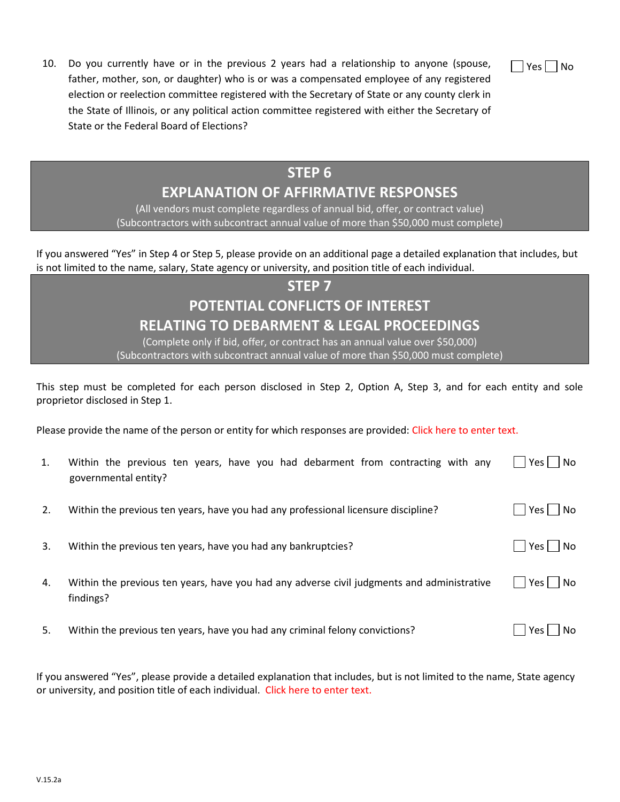|  | Nn |
|--|----|
|  |    |

10. Do you currently have or in the previous 2 years had a relationship to anyone (spouse, father, mother, son, or daughter) who is or was a compensated employee of any registered election or reelection committee registered with the Secretary of State or any county clerk in the State of Illinois, or any political action committee registered with either the Secretary of State or the Federal Board of Elections?

# **STEP 6 EXPLANATION OF AFFIRMATIVE RESPONSES**

(All vendors must complete regardless of annual bid, offer, or contract value) (Subcontractors with subcontract annual value of more than \$50,000 must complete)

If you answered "Yes" in Step 4 or Step 5, please provide on an additional page a detailed explanation that includes, but is not limited to the name, salary, State agency or university, and position title of each individual.

# **STEP 7 POTENTIAL CONFLICTS OF INTEREST RELATING TO DEBARMENT & LEGAL PROCEEDINGS**

(Complete only if bid, offer, or contract has an annual value over \$50,000) (Subcontractors with subcontract annual value of more than \$50,000 must complete)

This step must be completed for each person disclosed in Step 2, Option A, Step 3, and for each entity and sole proprietor disclosed in Step 1.

Please provide the name of the person or entity for which responses are provided: Click here to enter text.

| 1. | Within the previous ten years, have you had debarment from contracting with any<br>governmental entity? | Yes $\Box$<br><b>No</b> |
|----|---------------------------------------------------------------------------------------------------------|-------------------------|
| 2. | Within the previous ten years, have you had any professional licensure discipline?                      | Yes      No             |
| 3. | Within the previous ten years, have you had any bankruptcies?                                           | Yes     No              |
| 4. | Within the previous ten years, have you had any adverse civil judgments and administrative<br>findings? | Yes     No              |
| 5. | Within the previous ten years, have you had any criminal felony convictions?                            | Yes  <br>No.            |

If you answered "Yes", please provide a detailed explanation that includes, but is not limited to the name, State agency or university, and position title of each individual. Click here to enter text.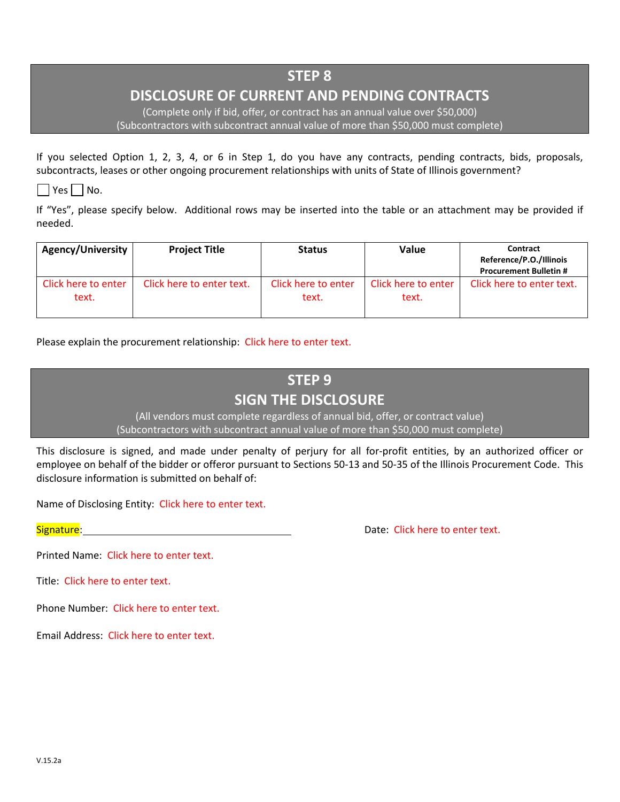## **DISCLOSURE OF CURRENT AND PENDING CONTRACTS**

(Complete only if bid, offer, or contract has an annual value over \$50,000) (Subcontractors with subcontract annual value of more than \$50,000 must complete)

If you selected Option 1, 2, 3, 4, or 6 in Step 1, do you have any contracts, pending contracts, bids, proposals, subcontracts, leases or other ongoing procurement relationships with units of State of Illinois government?

 $\Box$  Yes  $\Box$  No.

If "Yes", please specify below. Additional rows may be inserted into the table or an attachment may be provided if needed.

| Agency/University            | <b>Project Title</b>      | <b>Status</b>                | Value                        | Contract<br>Reference/P.O./Illinois<br><b>Procurement Bulletin #</b> |
|------------------------------|---------------------------|------------------------------|------------------------------|----------------------------------------------------------------------|
| Click here to enter<br>text. | Click here to enter text. | Click here to enter<br>text. | Click here to enter<br>text. | Click here to enter text.                                            |

Please explain the procurement relationship: Click here to enter text.

# **STEP 9 SIGN THE DISCLOSURE**

(All vendors must complete regardless of annual bid, offer, or contract value) (Subcontractors with subcontract annual value of more than \$50,000 must complete)

This disclosure is signed, and made under penalty of perjury for all for-profit entities, by an authorized officer or employee on behalf of the bidder or offeror pursuant to Sections 50-13 and 50-35 of the Illinois Procurement Code. This disclosure information is submitted on behalf of:

Name of Disclosing Entity: Click here to enter text.

Signature: **Date: Click here to enter text.** Date: Click here to enter text.

Printed Name: Click here to enter text.

Title: Click here to enter text.

Phone Number: Click here to enter text.

Email Address: Click here to enter text.